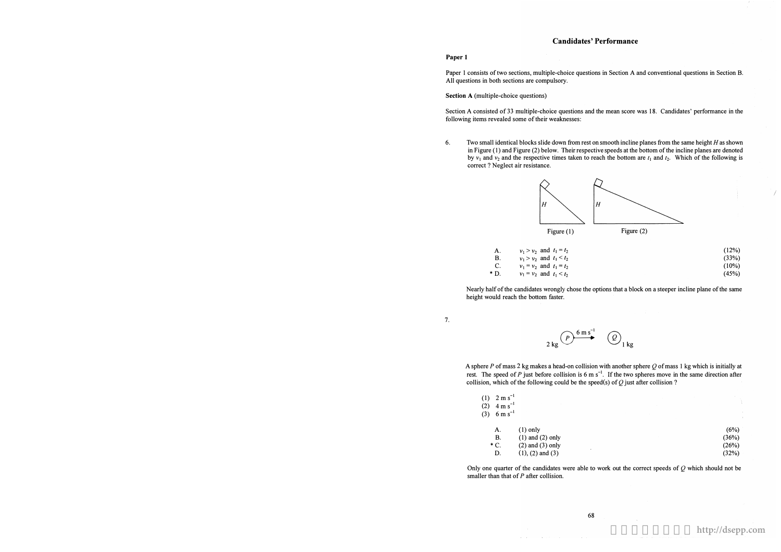# Candidates'Performance

#### Paper 1

Paper 1 consists of two sections, multiple-choice questions in Section A and conventional questions in Section B. All questions in both sections are compulsory.

Section A (multiple-choice questions)

Section A consisted of 33 multiple-choice questions and the mean score was 18. Candidates' performance in the following items revealed some of their weaknesses:

correct ? Neglect air resistance.

7.

 $2 \text{ kg} \bigodot^{\text{6 ms}^{-1}}$   $\bigodot_{1 \text{ kg}}$ 

A sphere  $P$  of mass 2 kg makes a head-on collision with another sphere  $Q$  of mass 1 kg which is initially at rest. The speed of P just before collision is 6 m s<sup>-1</sup>. If the two spheres move in the same direction after collision, which of the following could be the speed(s) of  $Q$  just after collision?







Figure (2)

| (12%)    |
|----------|
| (33%)    |
| $(10\%)$ |
| (45%)    |

 $\sqrt{ }$ 

Nearly half of the candidates wrongly chose the options that a block on a steeper incline plane of the same height would reach the bottom faster.

| (1) $2 \text{ m s}^{-1}$<br>$4 \text{ m s}^{-1}$<br>(2)<br>$(3)$ 6 m s <sup>-1</sup> |                      |   |  | <b>Contract</b> |
|--------------------------------------------------------------------------------------|----------------------|---|--|-----------------|
| Α.                                                                                   | $(1)$ only           |   |  | (6%)            |
| <b>B.</b>                                                                            | $(1)$ and $(2)$ only |   |  | (36%)           |
| $*$ C.                                                                               | $(2)$ and $(3)$ only | ٠ |  | (26%)           |
| D.                                                                                   | $(1), (2)$ and $(3)$ |   |  | (32%)           |

 $\label{eq:1} \mathcal{L}(\mathbf{q}) = \mathbf{q}^{\text{obs}} + \mathcal{L}(\mathbf{q}) = \mathcal{L}(\mathbf{q}^{\text{obs}}) + \mathcal{L}(\mathbf{q}^{\text{obs}}) + \mathcal{L}(\mathbf{q}^{\text{obs}})$ 

Only one quarter of the candidates were able to work out the correct speeds of  $Q$  which should not be smaller than that of P after collision.

 $\sim 100$ 

6. Two small identical blocks slide down from rest on smooth incline planes from the same height  $H$  as shown in Figure (I) and Figure (2) below. Their respective speeds at the bottom of the incline planes are denoted by  $v_1$  and  $v_2$  and the respective times taken to reach the bottom are  $t_1$  and  $t_2$ . Which of the following is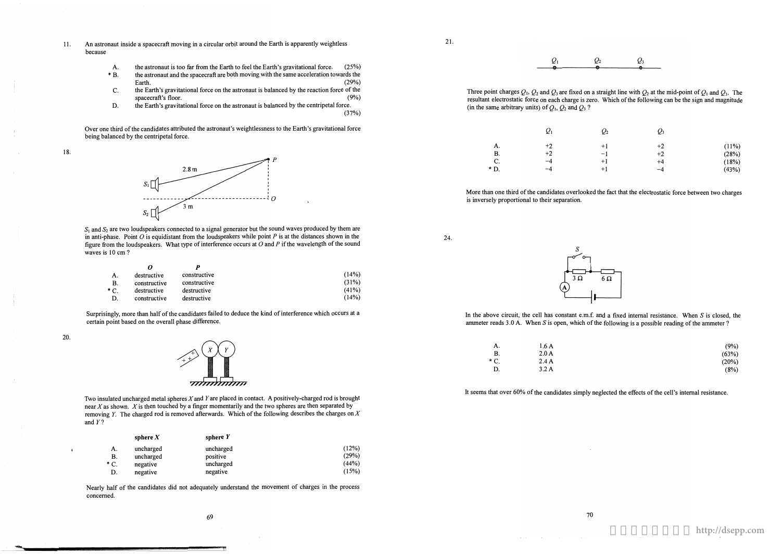- 11. An astronaut inside a spacecraft moving in a circular orbit around the Earth is apparently weightless because
	- A. the astronaut is too far from the Earth to feel the Earth's gravitational force. (25%)
	- \* B.the astronaut and the spacecraft are both moving with the same acceleration towards the Earth. (29%) Earth.  $(29%)$
	- C. the Earth's gravitational force on the astronaut is balanced by the reaction force of the spacecraft's floor. (9%) spacecraft's floor.
	- D. the Earth's gravitational force on the astronaut is balanced by the centripetal force. (37%)

 $S_1$  and  $S_2$  are two loudspeakers connected to a signal generator but the sound waves produced by them are in anti-phase. Point  $O$  is equidistant from the loudspeakers while point  $P$  is at the distances shown in the figure from the loudspeakers. What type of interference occurs at  $O$  and  $P$  if the wavelength of the sound waves is 10 cm ?

Over one third of the candidates attributed the astronaut's weightlessness to the Earth's gravitational force being balanced by the centripetal force.

18.



Two insulated uncharged metal spheres  $X$  and  $Y$  are placed in contact. A positively-charged rod is brought near  $X$  as shown.  $X$  is then touched by a finger momentarily and the two spheres are then separated by removing Y. The charged rod is removed afterwards. Which of the following describes the charges on  $X$ and Y?

Three point charges  $Q_1$ ,  $Q_2$  and  $Q_3$  are fixed on a straight line with  $Q_2$  at the mid-point of  $Q_1$  and  $Q_3$ . The resultant electrostatic force on each charge is zero. Which of the following can be the sign and magnitude

(in the same arbitrary units) of  $Q_1$ ,  $Q_2$  and  $Q_3$ ?

|        | $\varrho_{\scriptscriptstyle \rm I}$ |
|--------|--------------------------------------|
| A.     | $+2$                                 |
| Β.     | $+2$                                 |
| C.     | -4                                   |
| $*$ D. | -4                                   |

20.

More than one third of the candidates overlooked the fact that the electrostatic force between two charges is inversely proportional to their separation.

| А.           | destructive  | constructive | (14%) |
|--------------|--------------|--------------|-------|
| В.           | constructive | constructive | (31%) |
| $^{\ast}$ C. | destructive  | destructive  | (41%) |
| D.           | constructive | destructive  | (14%) |

Surprisingly, more than half of the candidates failed to deduce the kind of interference which occurs at a certain point based on the overall phase difference.



|        | sphere $X$ | sphere $Y$ |       |
|--------|------------|------------|-------|
| А.     | uncharged  | uncharged  | (12%) |
| B.     | uncharged  | positive   | (29%) |
| $*$ C. | negative   | uncharged  | (44%) |
|        | negative   | negative   | (15%) |

Nearly half of the candidates did not adequately understand the movement of charges in the process concerned.

21.

$$
Q_1 \qquad Q_2 \qquad Q_3
$$

| $\mathcal{Q}_2$ | $O_3$ |       |
|-----------------|-------|-------|
| $+1$            | $+2$  | (11%) |
| $-1$            | $+2$  | (28%) |
| $+1$            | $+4$  | (18%) |
| $+1$            | -4    | (43%) |
|                 |       |       |



24.



In the above circuit, the cell has constant  $e.m.f.$  and a fixed internal resistance. When S is closed, the ammeter reads  $3.0$  A. When S is open, which of the following is a possible reading of the ammeter ?

| А.   | 1.6A  |
|------|-------|
| B.   | 2.0A  |
| * C. | 2.4 A |
| D.   | 3.2A  |

(9%) (63%) (20%) (8%)

It seems that over 60% of the candidates simply neglected the effects of the cell's internal resistance.

更多試卷歡迎瀏覽 **http://dsepp.com**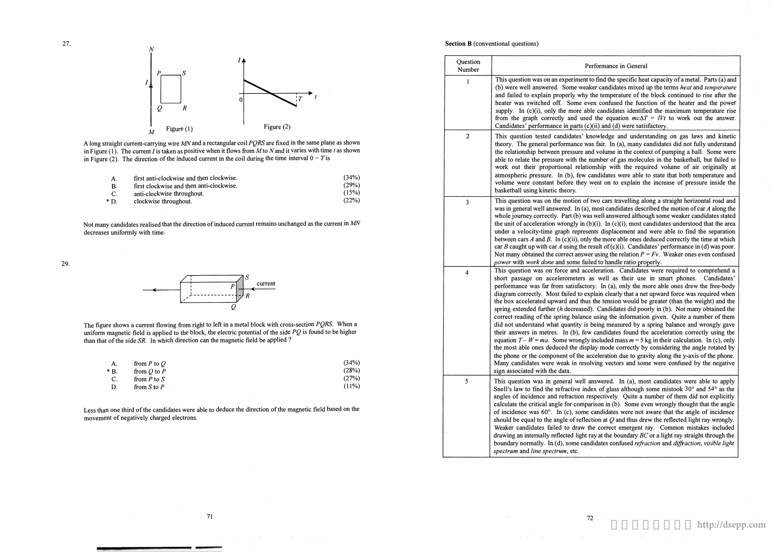#### Sormance in General

find the specific heat capacity of a metal. Parts (a) and r candidates mixed up the terms *heat* and *temperature* and temperature of the block continued to rise after the confused the function of the heater and the power candidates identified the maximum temperature rise the equation  $mc\Delta T = IVt$  to work out the answer. ii) and (d) were satisfactory.

wledge and understanding on gas laws and kinetic fair. In (a), many candidates did not fully understand volume in the context of pumping a ball. Some were mber of gas molecules in the basketball, but failed to iship with the required volume of air originally at didates were able to state that both temperature and ent on to explain the increase of pressure inside the

o cars travelling along a straight horizontal road and nost candidates described the motion of car  $A$  along the well answered although some weaker candidates stated  $\tilde{f}$ ). In (c)(i), most candidates understood that the area ts displacement and were able to find the separation he more able ones deduced correctly the time at which sult of  $(c)(i)$ . Candidates' performance in (d) was poor. using the relation  $P = Fv$ . Weaker ones even confused d to handle ratio properly.

eration. Candidates were required to comprehend a well as their use in smart phones. Candidates' In (a), only the more able ones drew the free-body. ain clearly that a net upward force was required when he tension would be greater (than the weight) and the Candidates did poorly in (b). Not many obtained the ising the information given. Quite a number of them eing measured by a spring balance and wrongly gave their andidates found the acceleration correctly using the icluded mass  $m = 5$  kg in their calculation. In (c), only the mode correctly by considering the angle rotated by eleration due to gravity along the y-axis of the phone. ing vectors and some were confused by the negative

swered. In (a), most candidates were able to apply Snell's law to find the refractive index of glass although some mistook  $30^{\circ}$  and  $54^{\circ}$  as the bectively. Quite a number of them did not explicitly. son in (b). Some even wrongly thought that the angle andidates were not aware that the angle of incidence on at  $\overline{O}$  and thus drew the reflected light ray wrongly. correct emergent ray. Common mistakes included at the boundary  $BC$  or a light ray straight through the dates confused *refraction* and *diffraction*, visible light

### Section **B** (conventional questions)



A long straight current-carrying wire MN and a rectangular coil PQRS are fixed in the same plane as shown in Figure (1). The current I is taken as positive when it flows from M to N and it varies with time t as shown in Figure (2). The direction of the induced current in the coil during the time interval  $0 - T$  is

|     | first anti-clockwise and then clockwise. | (34%) |
|-----|------------------------------------------|-------|
|     | first clockwise and then anti-clockwise. | (29%) |
|     | anti-clockwise throughout.               | (15%) |
| ת * | clockwise throughout.                    | (22%) |

Not many candidates realised that the direction of induced current remains unchanged as the current in MN decreases uniformly with time.

The figure shows a current flowing from right to left in a metal block with cross-section  $PQRS$ . When a uniform magnetic field is applied to the block, the electric potential of the side PQ is found to be higher than that of the side SR. In which direction can the magnetic field be applied ?

29.



| A.    | from $P$ to $Q$ | (34%) |
|-------|-----------------|-------|
| $*B.$ | from $Q$ to $P$ | (28%) |
| C.    | from $P$ to $S$ | (27%) |
| D.    | from $S$ to $P$ | (11%) |

Less than one third of the candidates were able to deduce the direction of the magnetic field based on the movement of negatively charged electrons.

| Question<br>Number      | Perf                                                                                                                                                                                                                                                                                                                                                                                                                                                                                                                                                                                       |
|-------------------------|--------------------------------------------------------------------------------------------------------------------------------------------------------------------------------------------------------------------------------------------------------------------------------------------------------------------------------------------------------------------------------------------------------------------------------------------------------------------------------------------------------------------------------------------------------------------------------------------|
| 1                       | This question was on an experiment to<br>(b) were well answered. Some weaker<br>and failed to explain properly why the<br>heater was switched off. Some even<br>supply. In $(c)(i)$ , only the more able<br>from the graph correctly and used<br>Candidates' performance in parts (c)(i                                                                                                                                                                                                                                                                                                    |
| $\overline{c}$          | This question tested candidates' kno<br>theory. The general performance was<br>the relationship between pressure and<br>able to relate the pressure with the nur<br>work out their proportional relations<br>atmospheric pressure. In (b), few car<br>volume were constant before they we<br>basketball using kinetic theory.                                                                                                                                                                                                                                                              |
| 3                       | This question was on the motion of tw<br>was in general well answered. In (a), m<br>whole journey correctly. Part (b) was v<br>the unit of acceleration wrongly in (b)(<br>under a velocity-time graph represent<br>between cars A and B. In (c)(ii), only the<br>car $B$ caught up with car $A$ using the rest<br>Not many obtained the correct answer u<br>power with work done and some failed                                                                                                                                                                                          |
| $\overline{\mathbf{4}}$ | This question was on force and accel<br>short passage on accelerometers as<br>performance was far from satisfactory<br>diagram correctly. Most failed to expla<br>the box accelerated upward and thus th<br>spring extended further (h decreased).<br>correct reading of the spring balance u<br>did not understand what quantity is be<br>their answers in metres. In (b), few c<br>equation $T - W = ma$ . Some wrongly in<br>the most able ones deduced the display<br>the phone or the component of the acce<br>Many candidates were weak in resolvi<br>sign associated with the data. |
| 5                       | This question was in general well ans<br>Snell's law to find the refractive index<br>angles of incidence and refraction resp<br>calculate the critical angle for comparis<br>of incidence was 60°. In (c), some ca<br>should be equal to the angle of reflection<br>Weaker candidates failed to draw the<br>drawing an internally reflected light ray<br>boundary normally. In (d), some candid<br>spectrum and line spectrum, etc.                                                                                                                                                        |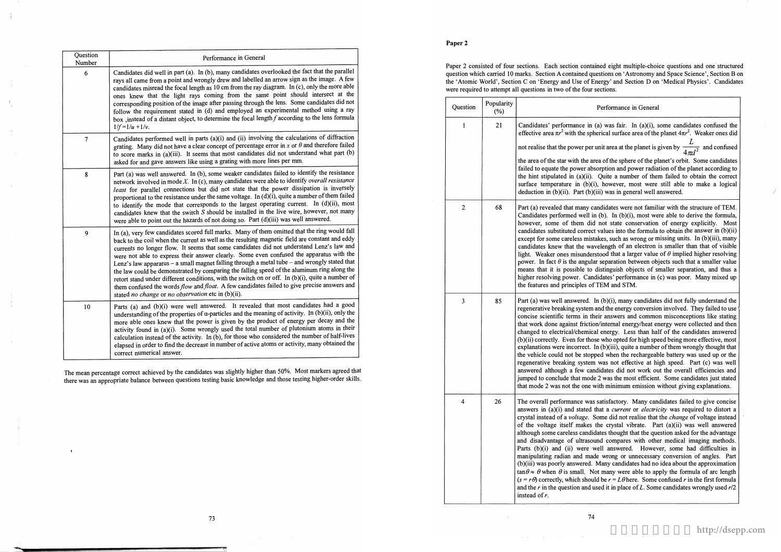### **Paper 2**

| Question<br>Number | Performance in General                                                                                                                                                                                                                                                                                                                                                                                                                                                                                                                                                                                                                                                                                                                                                                                                                          |  |
|--------------------|-------------------------------------------------------------------------------------------------------------------------------------------------------------------------------------------------------------------------------------------------------------------------------------------------------------------------------------------------------------------------------------------------------------------------------------------------------------------------------------------------------------------------------------------------------------------------------------------------------------------------------------------------------------------------------------------------------------------------------------------------------------------------------------------------------------------------------------------------|--|
| 6                  | Candidates did well in part (a). In (b), many candidates overlooked the fact that the parallel<br>rays all came from a point and wrongly drew and labelled an arrow sign as the image. A few<br>candidates misread the focal length as 10 cm from the ray diagram. In (c), only the more able<br>ones knew that the light rays coming from the same point should intersect at the<br>corresponding position of the image after passing through the lens. Some candidates did not<br>follow the requirement stated in (d) and employed an experimental method using a ray<br>box , instead of a distant object, to determine the focal length $f$ according to the lens formula<br>$1/f = 1/u + 1/v$ .                                                                                                                                           |  |
| $\overline{7}$     | Candidates performed well in parts (a)(i) and (ii) involving the calculations of diffraction<br>grating. Many did not have a clear concept of percentage error in x or $\theta$ and therefore failed<br>to score marks in (a)(iii). It seems that most candidates did not understand what part (b)<br>asked for and gave answers like using a grating with more lines per mm.                                                                                                                                                                                                                                                                                                                                                                                                                                                                   |  |
| 8                  | Part (a) was well answered. In (b), some weaker candidates failed to identify the resistance<br>network involved in mode $X$ . In (c), many candidates were able to identify overall resistance<br>least for parallel connections but did not state that the power dissipation is inversely<br>proportional to the resistance under the same voltage. In (d)(i), quite a number of them failed<br>to identify the mode that corresponds to the largest operating current. In (d)(ii), most<br>candidates knew that the switch $S$ should be installed in the live wire, however, not many<br>were able to point out the hazards of not doing so. Part (d)(iii) was well answered.                                                                                                                                                               |  |
| 9                  | In (a), very few candidates scored full marks. Many of them omitted that the ring would fall<br>back to the coil when the current as well as the resulting magnetic field are constant and eddy<br>currents no longer flow. It seems that some candidates did not understand Lenz's law and<br>were not able to express their answer clearly. Some even confused the apparatus with the<br>Lenz's law apparatus - a small magnet falling through a metal tube - and wrongly stated that<br>the law could be demonstrated by comparing the falling speed of the aluminum ring along the<br>retort stand under different conditions, with the switch on or off. In (b)(i), quite a number of<br>them confused the words flow and float. A few candidates failed to give precise answers and<br>stated no change or no observation etc in (b)(ii). |  |
| 10                 | Parts (a) and (b)(i) were well answered. It revealed that most candidates had a good<br>understanding of the properties of $\alpha$ -particles and the meaning of activity. In (b)(ii), only the<br>more able ones knew that the power is given by the product of energy per decay and the<br>activity found in (a)(i). Some wrongly used the total number of plutonium atoms in their<br>calculation instead of the activity. In (b), for those who considered the number of half-lives<br>elapsed in order to find the decrease in number of active atoms or activity, many obtained the<br>correct numerical answer.                                                                                                                                                                                                                         |  |

L not realise that the power per unit area at the planet is given by  $\frac{1}{4\pi d^2}$  and confused

area of the sphere of the planet's orbit. Some candidates **failed is equate to equate the planet according to** 

Quite a number of them failed to obtain the correct (i), however, most were still able to make a logical (iii) was in general well answered.

<sup>2</sup> **68 Part (a) revealed that many candidates were not familiar with the structure of TEM.**<br>Candidates performed well in (b). In (b)(i), most were able to derive the formula, **however of the state conservation of energy explicitly. Most** ct values into the formula to obtain the answer in  $(b)(ii)$ takes, such as wrong or missing units. In (b)(iii), many avelength of an electron is smaller than that of visible **lacktright** is stated that a larger value of  $\theta$  implied higher resolving ar separation between objects such that a smaller value distinguish objects of smaller separation, and thus a **higher resolving power. Candidates' performance in (c) was poor. Many mixed up**  f TEM and STM.

> In (b)(i), many candidates did not fully understand the **rand the energy conversion involved. They failed to use** heir answers and common misconceptions like stating **that inferral energy/heat energy were collected and then** cal energy. Less than half of the candidates answered be who opted for high speed being more effective, most In (b)(iii), quite a number of them wrongly thought that pped when the rechargeable battery was used up or the  $m$  was not effective at high speed. Part (c) was well **answered although a few candidates did not work out the overall efficiencies and**  le 2 was the most efficient. Some candidates just stated with minimum emission without giving explanations.

<sup>4</sup> <sup>26</sup> The overall performance was satisfactory. Many candidates failed to give concise answers in (a)(i) and stated that a *current* or *electricity* was required to distort a Some did not realise that the *change* of voltage instead the crystal vibrate. Part (a)(ii) was well answered dates thought that the question asked for the advantage and compares with other medical imaging methods. well answered. However, some had difficulties in de wrong or unnecessary conversion of angles. Part **(b)(iii) was poorly answered. Many candidates had no idea about the approximation**  In dot many were able to apply the formula of arc length ald be  $r = L\theta$  here. Some confused r in the first formula used it in place of L. Some candidates wrongly used  $r/2$ 

**The mean percentage correct achieved by the candidates was slightly higher than 50%. Most markers agreed that there was an appropriate balance between questions testing basic knowledge and those testing higher-order skills** **Paper 2 consisted of four sections. Each section contained eight multiple-choice questions and one structured question which carried IO marks. Section A contained questions on'Astronomy and Space Science', Section B on the'Atomic World', Section C on'Energy and Use of Energy' and Section Don'Medical Physics'. Candidates were required to attempt all questions in two of the four sections.** 

**(%) Perfonnance in General** 

 $(a)$  was fair. In  $(a)(i)$ , some candidates confused the herical surface area of the planet  $4\pi r^2$ . Weaker ones did

| Question | Popularity<br>$(\%)$ |                                                                                                                                                                                                                                                                                                                                                                                                                                                 |
|----------|----------------------|-------------------------------------------------------------------------------------------------------------------------------------------------------------------------------------------------------------------------------------------------------------------------------------------------------------------------------------------------------------------------------------------------------------------------------------------------|
| 1        | 21                   | Candidates' performance in<br>effective area $\pi r^2$ with the sp                                                                                                                                                                                                                                                                                                                                                                              |
|          |                      | not realise that the power per                                                                                                                                                                                                                                                                                                                                                                                                                  |
|          |                      | the area of the star with the a<br>failed to equate the power ab<br>the hint stipulated in (a)(ii).<br>surface temperature in (b)(<br>deduction in $(b)(ii)$ . Part $(b)$                                                                                                                                                                                                                                                                       |
| 2        | 68                   | Part (a) revealed that many c<br>Candidates performed well i<br>however, some of them die<br>candidates substituted correc<br>except for some careless mis<br>candidates knew that the wa<br>light. Weaker ones misunder<br>power. In fact $\theta$ is the angul<br>means that it is possible to<br>higher resolving power. Can<br>the features and principles of                                                                               |
| 3        | 85                   | Part (a) was well answered.<br>regenerative breaking system<br>concise scientific terms in tl<br>that work done against friction<br>changed to electrical/chemic<br>(b)(ii) correctly. Even for tho<br>explanations were incorrect.<br>the vehicle could not be stop<br>regenerative breaking systen<br>answered although a few car<br>jumped to conclude that mod<br>that mode 2 was not the one                                               |
| 4        | 26                   | The overall performance wa<br>answers in $(a)(i)$ and stated<br>crystal instead of a voltage.<br>of the voltage itself makes<br>although some careless candi<br>and disadvantage of ultraso<br>Parts (b)(i) and (ii) were<br>manipulating radian and ma<br>(b)(iii) was poorly answered.<br>$\tan \theta \approx \theta$ when $\theta$ is small. N<br>$(s = r\theta)$ correctly, which shou<br>and the $r$ in the question and<br>instead of r. |